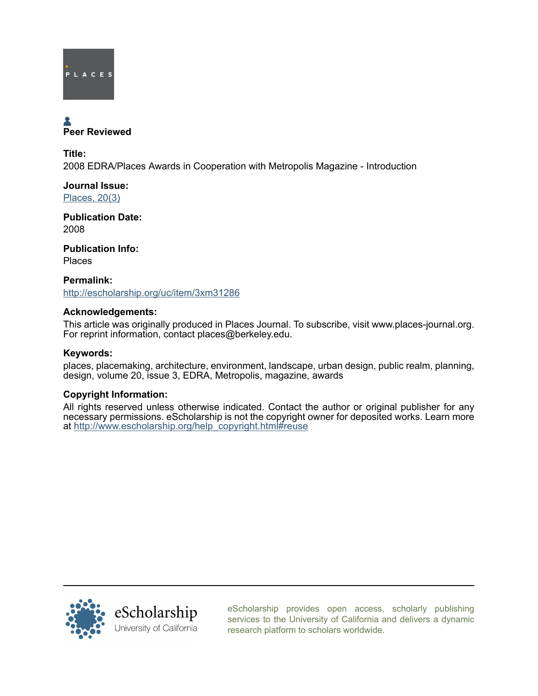

# Peer Reviewed

Title: 2008 EDRA/Places Awards in Cooperation with Metropolis Magazine - Introduction

Journal Issue: [Places, 20\(3\)](http://escholarship.org/uc/ced_places?volume=20;issue=3)

Publication Date: 2008

Publication Info: Places

Permalink: <http://escholarship.org/uc/item/3xm31286>

### Acknowledgements:

This article was originally produced in Places Journal. To subscribe, visit www.places-journal.org. For reprint information, contact places@berkeley.edu.

#### Keywords:

places, placemaking, architecture, environment, landscape, urban design, public realm, planning, design, volume 20, issue 3, EDRA, Metropolis, magazine, awards

#### Copyright Information:

All rights reserved unless otherwise indicated. Contact the author or original publisher for any necessary permissions. eScholarship is not the copyright owner for deposited works. Learn more at [http://www.escholarship.org/help\\_copyright.html#reuse](http://www.escholarship.org/help_copyright.html#reuse)



[eScholarship provides open access, scholarly publishing](http://escholarship.org) [services to the University of California and delivers a dynamic](http://escholarship.org) [research platform to scholars worldwide.](http://escholarship.org)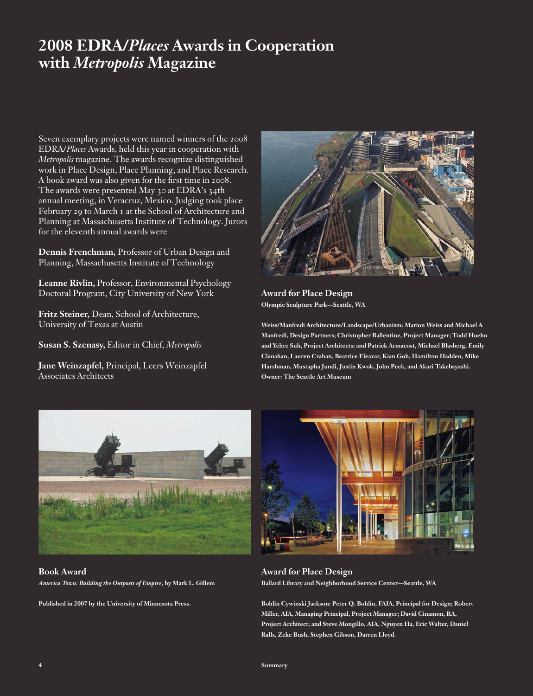## **2008 EDRA/***Places* **Awards in Cooperation with** *Metropolis* **Magazine**

Seven exemplary projects were named winners of the 2008 EDRA/*Places* Awards, held this year in cooperation with *Metropolis* magazine. The awards recognize distinguished work in Place Design, Place Planning, and Place Research. A book award was also given for the first time in 2008. The awards were presented May 30 at EDRA's 34th annual meeting, in Veracruz, Mexico. Judging took place February 29 to March 1 at the School of Architecture and Planning at Massachusetts Institute of Technology. Jurors for the eleventh annual awards were

**Dennis Frenchman,** Professor of Urban Design and Planning, Massachusetts Institute of Technology

**Leanne Rivlin,** Professor, Environmental Psychology Doctoral Program, City University of New York

**Fritz Steiner,** Dean, School of Architecture, University of Texas at Austin

**Susan S. Szenasy,** Editor in Chief, *Metropolis*

**Jane Weinzapfel,** Principal, Leers Weinzapfel Associates Architects



**Award for Place Design Olympic Sculpture Park—Seattle, WA**

**Weiss/Manfredi Architecture/Landscape/Urbanism: Marion Weiss and Michael A Manfredi, Design Partners; Christopher Ballentine, Project Manager; Todd Hoehn and Yehre Suh, Project Architects; and Patrick Armacost, Michael Blasberg, Emily Clanahan, Lauren Crahan, Beatrice Eleazar, Kian Goh, Hamilton Hadden, Mike Harshman, Mustapha Jundi, Justin Kwok, John Peek, and Akari Takebayashi. Owner: The Seattle Art Museum**



**Book Award** *America Town: Building the Outposts of Empire,* **by Mark L. Gillem**

**Published in 2007 by the University of Minnesota Press.**



**Award for Place Design Ballard Library and Neighborhood Service Center—Seattle, WA**

**Bohlin Cywinski Jackson: Peter Q. Bohlin, FAIA, Principal for Design; Robert Miller, AIA, Managing Principal, Project Manager; David Cinamon, RA, Project Architect; and Steve Mongillo, AIA, Nguyen Ha, Eric Walter, Daniel Ralls, Zeke Bush, Stephen Gibson, Darren Lloyd.**